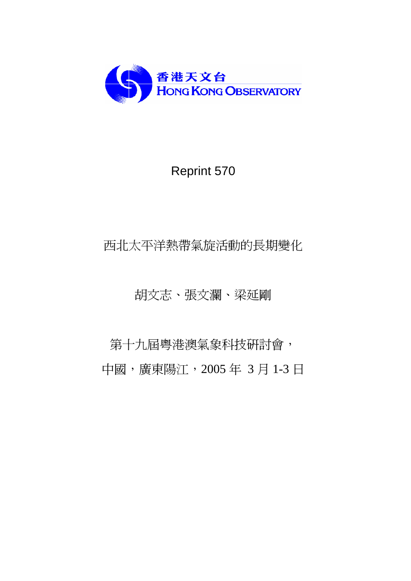

# Reprint 570

# 西北太平洋熱帶氣旋活動的長期變化

# 胡文志、張文瀾、梁延剛

第十九屆粵港澳氣象科技研討會, 中國,廣東陽江,2005 年 3 月 1-3 日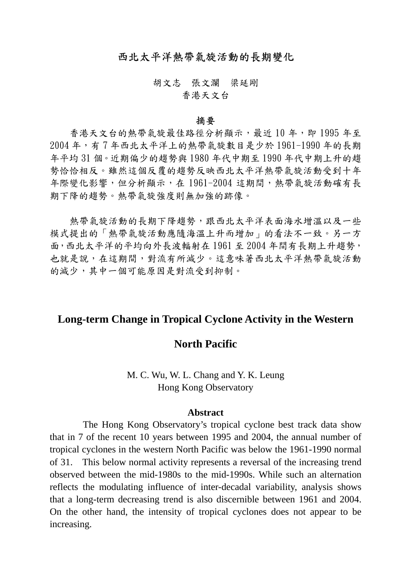## 西北太平洋熱帶氣旋活動的長期變化

胡文志 張文瀾 梁延剛 香港天文台

#### 摘要

香港天文台的熱帶氣旋最佳路徑分析顯示,最近10年,即1995年至 2004 年,有 7 年西北太平洋上的熱帶氣旋數目是少於 1961-1990 年的長期 年平均 31 個。近期偏少的趨勢與 1980 年代中期至 1990 年代中期上升的趨 勢恰恰相反。雖然這個反覆的趨勢反映西北太平洋熱帶氣旋活動受到十年 年際變化影響,但分析顯示,在 1961-2004 這期間,熱帶氣旋活動確有長 期下降的趨勢。熱帶氣旋強度則無加強的跡像。

熱帶氣旋活動的長期下降趨勢,跟西北太平洋表面海水增溫以及一些 模式提出的「熱帶氣旋活動應隨海溫上升而增加」的看法不一致。另一方 面,西北太平洋的平均向外長波輻射在 1961 至 2004 年間有長期上升趨勢, 也就是說,在這期間,對流有所減少。這意味著西北太平洋熱帶氣旋活動 的減少,其中一個可能原因是對流受到抑制。

## **Long-term Change in Tropical Cyclone Activity in the Western**

## **North Pacific**

# M. C. Wu, W. L. Chang and Y. K. Leung Hong Kong Observatory

### **Abstract**

 The Hong Kong Observatory's tropical cyclone best track data show that in 7 of the recent 10 years between 1995 and 2004, the annual number of tropical cyclones in the western North Pacific was below the 1961-1990 normal of 31. This below normal activity represents a reversal of the increasing trend observed between the mid-1980s to the mid-1990s. While such an alternation reflects the modulating influence of inter-decadal variability, analysis shows that a long-term decreasing trend is also discernible between 1961 and 2004. On the other hand, the intensity of tropical cyclones does not appear to be increasing.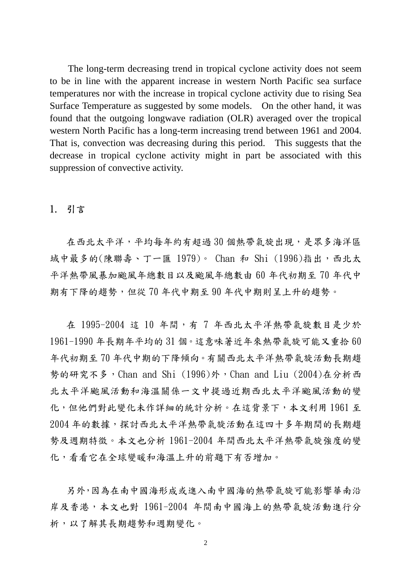The long-term decreasing trend in tropical cyclone activity does not seem to be in line with the apparent increase in western North Pacific sea surface temperatures nor with the increase in tropical cyclone activity due to rising Sea Surface Temperature as suggested by some models. On the other hand, it was found that the outgoing longwave radiation (OLR) averaged over the tropical western North Pacific has a long-term increasing trend between 1961 and 2004. That is, convection was decreasing during this period. This suggests that the decrease in tropical cyclone activity might in part be associated with this suppression of convective activity.

## 1. 引言

在西北太平洋,平均每年約有超過30個熱帶氣旋出現,是眾多海洋區 域中最多的(陳聯壽、丁一匯 1979)。 Chan 和 Shi (1996)指出,西北太 平洋熱帶風暴加颱風年總數目以及颱風年總數由 60 年代初期至 70 年代中 期有下降的趨勢,但從 70 年代中期至 90 年代中期則呈上升的趨勢。

在 1995-2004 這 10 年間,有 7 年西北太平洋熱帶氣旋數目是少於 1961-1990 年長期年平均的 31 個。這意味著近年來熱帶氣旋可能又重拾 60 年代初期至 70 年代中期的下降傾向。有關西北太平洋熱帶氣旋活動長期趨 勢的研究不多,Chan and Shi (1996)外,Chan and Liu (2004)在分析西 北太平洋颱風活動和海溫關係一文中提過近期西北太平洋颱風活動的變 化,但他們對此變化未作詳細的統計分析。在這背景下,本文利用 1961 至 2004 年的數據,探討西北太平洋熱帶氣旋活動在這四十多年期間的長期趨 勢及週期特徵。本文也分析 1961-2004 年間西北太平洋熱帶氣旋強度的變 化,看看它在全球變暖和海溫上升的前題下有否增加。

另外,因為在南中國海進入南中國海的熱帶氣旋可能影響華南沿 岸及香港,本文也對 1961-2004 年間南中國海上的熱帶氣旋活動進行分 析,以了解其長期趨勢和週期變化。

2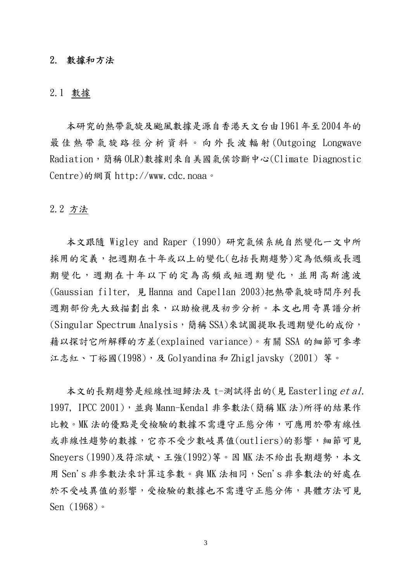#### 2. 數據和方法

#### 2.1 數據

本研究的熱帶氣旋及颱風數據是源自香港天文台由 1961年至 2004年的 最佳熱帶氣旋 路 徑分析資 料 。向外長波 輻 射 (Outgoing Longwave Radiation,簡稱 OLR)數據則來自美國氣侯診斷中心(Climate Diagnostic Centre)的網頁 http://www.cdc.noaa。

## 2.2 方法

本文跟隨 Wigley and Raper (1990) 研究氣候系統自然變化一文中所 採用的定義,把週期在十年或以上的變化(包括長期趨勢)定為低頻或長週 期變化,週期在十年以下的定為高頻或短週期變化,並用高斯濾波 (Gaussian filter, 見 Hanna and Capellan 2003)把熱帶氣旋時間序列長 週期部份先大致描劃出來,以助檢視及初步分析。本文也用奇異譜分析 (Singular Spectrum Analysis,简稱 SSA)來試圖提取長週期變化的成份, 藉以探討它所解釋的方差(explained variance)。有關 SSA 的細節可參孝 江志紅、丁裕國(1998), 及 Golyandina 和 Zhigljavsky (2001) 等。

本文的長期趨勢是經線性迴歸法及 t-測試得出的(見 Easterling et al. 1997, IPCC 2001), 並與 Mann-Kendal 非參數法(簡稱 MK 法)所得的結果作 比較。MK 法的優點是受檢驗的數據不需遵守正態分佈,可應用於帶有線性 或非線性趨勢的數據,它亦不受少數岐異值(outliers)的影響,細節可見 Sneyers (1990)及符淙斌、王強(1992)等。因 MK 法不給出長期趨勢,本文 用 Sen's 非參數法來計算這參數。與 MK 法相同, Sen's 非參數法的好處在 於不受岐異值的影響,受檢驗的數據也不需遵守正態分佈,具體方法可見 Sen (1968)。

3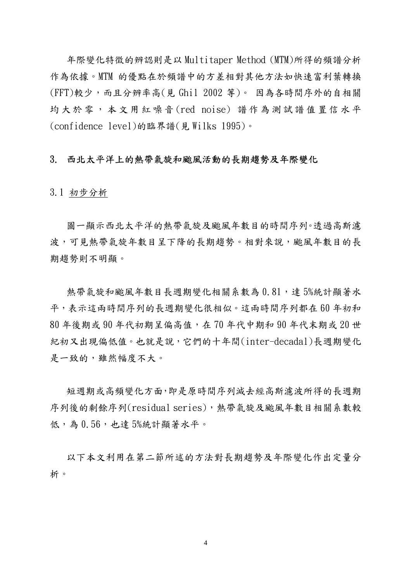年際變化特徵的辨認則是以 Multitaper Method (MTM)所得的頻譜分析 作為依據。MTM 的優點在於頻譜中的方差相對其他方法如快速富利葉轉換 (FFT)較少,而且分辨率高(見 Ghil 2002 等)。 因為各時間序外的自相關 均大於 零 , 本 文 用 紅 噪 音 (red noise) 譜 作 為 測 試 譜 值 置 信 水 平 (confidence level)的臨界譜(見 Wilks 1995)。

## 3. 西北太平洋上的熱帶氣旋和颱風活動的長期趨勢及年際變化

3.1 初步分析

圖一顯示西北太平洋的熱帶氣旋及颱風年數目的時間序列。透過高斯濾 波,可見熱帶氣旋年數目呈下降的長期趨勢。相對來說,颱風年數目的長 期趨勢則不明顯。

熱帶氣旋和颱風年數目長週期變化相關系數為 0.81,達 5%統計顯著水 平,表示這兩時間序列的長週期變化很相似。這兩時間序列都在 60 年初和 80 年後期或 90 年代初期呈偏高值,在 70 年代中期和 90 年代末期或 20 世 紀初又出現偏低值。也就是說,它們的十年間(inter-decadal)長週期變化 是一致的,雖然幅度不大。

短週期或高頻變化方面,即是原時間序列減去經高斯濾波所得的長週期 序列後的剩餘序列(residual series),熱帶氣旋及颱風年數目相關系數較 低,為 0.56,也達 5%統計顯著水平。

以下本文利用在第二節所述的方法對長期趨勢及年際變化作出定量分 析。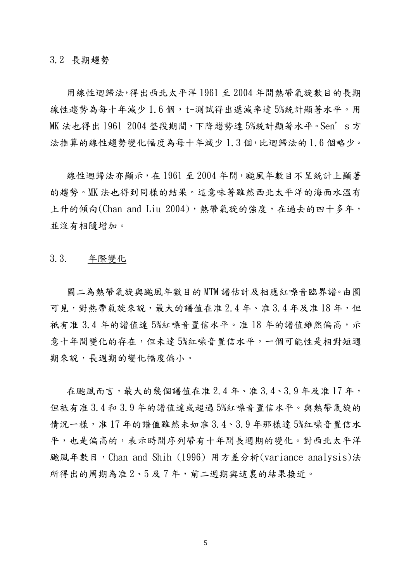3.2 長期趨勢

用線性迴歸法,得出西北太平洋 1961 至 2004 年間熱帶氣旋數目的長期 線性趨勢為每十年減少 1.6個,t-測試得出遞減率達 5%統計顯著水平。用 MK 法也得出 1961-2004 整段期間,下降趨勢達 5%統計顯著水平。Sen's 方 法推算的線性趨勢變化幅度為每十年減少 1.3 個,比迴歸法的 1.6 個略少。

線性迴歸法亦顯示, 在 1961 至 2004 年間, 颱風年數目不呈統計上顯著 的趨勢。MK 法也得到同樣的結果。這意味著雖然西北太平洋的海面水溫有 上升的傾向(Chan and Liu 2004),熱帶氣旋的強度,在過去的四十多年, 並沒有相隨增加。

3.3. 年際變化

圖二為熱帶氣旋與颱風年數目的 MTM 譜估計及相應紅噪音臨界譜。由圖 可見,對熱帶氣旋來說,最大的譜值在准 2.4年、准 3.4年及准 18年,但 祇有准 3.4 年的譜值達 5%紅噪音置信水平。准 18 年的譜值雖然偏高,示 意十年間變化的存在,但未達 5%紅噪音置信水平,一個可能性是相對短週 期來說,長週期的變化幅度偏小。

在颱風而言,最大的幾個譜值在准 2.4年、准 3.4、3.9年及准17年, 但祗有准 3.4 和 3.9 年的譜值達或超過 5%紅噪音置信水平。與熱帶氣旋的 情況一樣,准 17年的譜值雖然未如准 3.4、3.9年那樣達 5%紅噪音置信水 平,也是偏高的,表示時間序列帶有十年間長週期的變化。對西北太平洋 颱風年數目,Chan and Shih (1996) 用方差分析(variance analysis)法 所得出的周期為准 2、5 及 7 年,前二週期與這裏的結果接近。

 $\sim$  5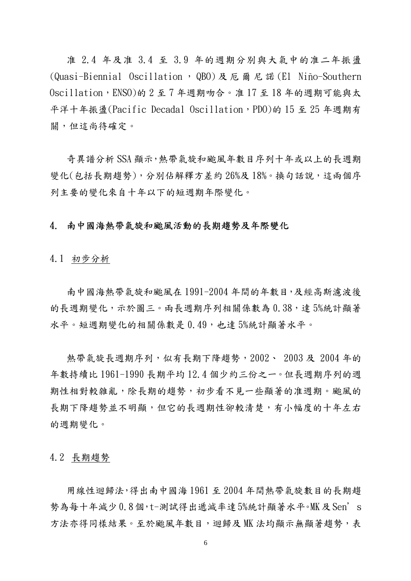准 2.4 年及准 3.4 至 3.9 年的週期分別與大氣中的准二年振盪 (Quasi-Biennial Oscillation , QBO) 及 厄 爾 尼 諾 (El Niño-Southern Oscillation,ENSO)的 2 至 7 年週期吻合。准 17 至 18 年的週期可能與太 平洋十年振盪(Pacific Decadal Oscillation, PDO)的 15 至 25 年週期有 關,但這尚待確定。

奇異譜分析 SSA 顯示,熱帶氣旋和颱風年數目序列十年或以上的長週期 變化(包括長期趨勢),分別佔解釋方差約 26%及 18%。換句話說,這兩個序 列主要的變化來自十年以下的短週期年際變化。

## 4. 南中國海熱帶氣旋和颱風活動的長期趨勢及年際變化

4.1 初步分析

南中國海熱帶氣旋和颱風在 1991-2004 年間的年數目,及經高斯濾波後 的長週期變化,示於圖三。兩長週期序列相關係數為 0.38,達 5%統計顯著 水平。短週期變化的相關係數是 0.49,也達 5%統計顯著水平。

熱帶氣旋長週期序列,似有長期下降趨勢,2002、 2003 及 2004 年的 年數持續比 1961-1990 長期平均 12.4 個少約三份之一。但長週期序列的週 期性相對較雜亂,除長期的趨勢,初步看不見一些顯著的准週期。颱風的 長期下降趨勢並不明顯,但它的長週期性卻較清楚,有小幅度的十年左右 的週期變化。

4.2 長期趨勢

用線性迴歸法,得出南中國海 1961 至 2004 年間熱帶氣旋數目的長期趨 勢為每十年減少 0.8個,t-測試得出遞減率達 5%統計顯著水平。MK及 Sen's 方法亦得同樣結果。至於颱風年數目,迴歸及 MK 法均顯示無顯著趨勢,表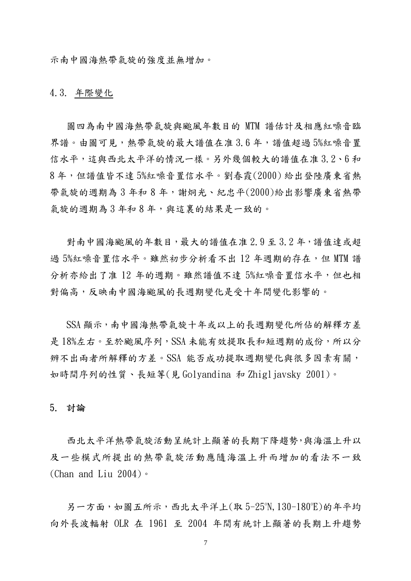示南中國海熱帶氣旋的強度並無增加。

#### 4.3. 年際變化

圖四為南中國海熱帶氣旋與颱風年數目的 MTM 譜估計及相應紅噪音臨 界譜。由圖可見,熱帶氣旋的最大譜值在准 3.6年,譜值超過 5%紅噪音置 信水平,這與西北太平洋的情況一樣。另外幾個較大的譜值在准 3.2、6 和 8 年,但譜值皆不達 5%紅噪音置信水平。劉春霞(2000) 給出登陸廣東省熱 帶氣旋的週期為 3 年和 8 年,謝炯光、紀忠平(2000)給出影響廣東省熱帶 氣旋的週期為3年和8年,與這裏的結果是一致的。

對南中國海颱風的年數目,最大的譜值在准 2.9 至 3.2 年,譜值達或超 過 5%紅噪音置信水平。雖然初步分析看不出 12 年週期的存在,但 MTM 譜 分析亦給出了准 12 年的週期。雖然譜值不達 5%紅噪音置信水平,但也相 對偏高,反映南中國海颱風的長週期變化是受十年間變化影響的。

SSA 顯示,南中國海熱帶氣旋十年或以上的長週期變化所佔的解釋方差 是18%左右。至於颱風序列, SSA 未能有效提取長和短週期的成份, 所以分 辨不出兩者所解釋的方差。SSA 能否成功提取週期變化與很多因素有關, 如時間序列的性質、長短等(見 Golvandina 和 Zhigliavsky 2001)。

#### 5. 討論

西北太平洋熱帶氣旋活動呈統計上顯著的長期下降趨勢,與海溫上升以 及一些模式所提出的熱帶氣旋活動應隨海溫上升而增加的看法不一致 (Chan and Liu 2004)。

另一方面,如圖五所示,西北太平洋上(取 5-25°N, 130-180°E)的年平均 向外長波輻射 OLR 在 1961 至 2004 年間有統計上顯著的長期上升趨勢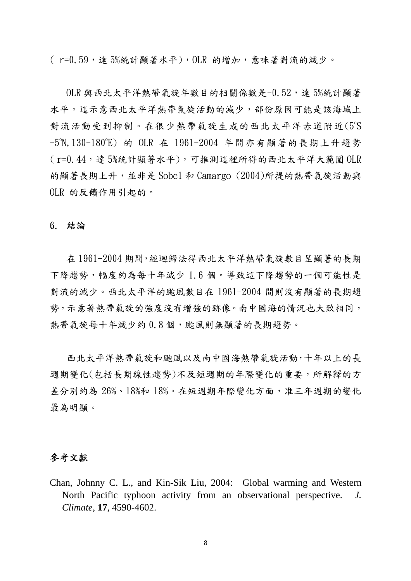( r=0.59, 達 5%統計顯著水平), OLR 的增加, 意味著對流的減少。

OLR 與西北太平洋熱帶氣旋年數目的相關係數是-0.52,達 5%統計顯著 水平。這示意西北太平洋熱帶氣旋活動的減少,部份原因可能是該海域上 對流活動受到抑制。在很少熱帶氣旋生成的西北太平洋赤道附近(5°S -5°N,130-180°E) 的 OLR 在 1961-2004 年間亦有顯著的長期上升趨勢 ( r=0.44,達 5%統計顯著水平),可推測這裡所得的西北太平洋大範圍 OLR 的顯著長期上升,並非是 Sobel 和 Camargo (2004)所提的熱帶氣旋活動與 OLR 的反饋作用引起的。

#### 6. 結論

在 1961-2004 期間,經迴歸法得西北太平洋熱帶氣旋數目呈顯著的長期 下降趨勢,幅度約為每十年減少 1.6 個。導致這下降趨勢的一個可能性是 對流的減少。西北太平洋的颱風數目在 1961-2004 間則沒有顯著的長期趨 勢,示意著熱帶氣旋的強度沒有增強的跡像。南中國海的情況也大致相同, 熱帶氣旋每十年減少約0.8個,颱風則無顯著的長期趨勢。

西北太平洋熱帶氣旋和颱風以及南中國海熱帶氣旋活動,十年以上的長 週期變化(包括長期線性趨勢)不及短週期的年際變化的重要,所解釋的方 差分別約為 26%、18%和 18%。在短週期年際變化方面,准三年週期的變化 最為明顯。

## 參考文獻

Chan, Johnny C. L., and Kin-Sik Liu, 2004: Global warming and Western North Pacific typhoon activity from an observational perspective. *J. Climate*, **17**, 4590-4602.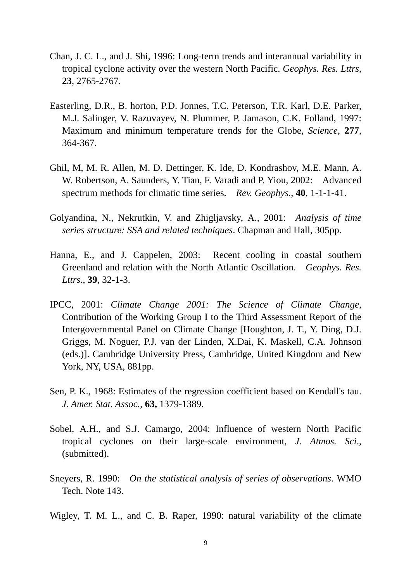- Chan, J. C. L., and J. Shi, 1996: Long-term trends and interannual variability in tropical cyclone activity over the western North Pacific. *Geophys. Res. Lttrs*, **23**, 2765-2767.
- Easterling, D.R., B. horton, P.D. Jonnes, T.C. Peterson, T.R. Karl, D.E. Parker, M.J. Salinger, V. Razuvayev, N. Plummer, P. Jamason, C.K. Folland, 1997: Maximum and minimum temperature trends for the Globe, *Science*, **277**, 364-367.
- Ghil, M, M. R. Allen, M. D. Dettinger, K. Ide, D. Kondrashov, M.E. Mann, A. W. Robertson, A. Saunders, Y. Tian, F. Varadi and P. Yiou, 2002: Advanced spectrum methods for climatic time series. *Rev. Geophys.*, **40**, 1-1-1-41.
- Golyandina, N., Nekrutkin, V. and Zhigljavsky, A., 2001: *Analysis of time series structure: SSA and related techniques*. Chapman and Hall, 305pp.
- Hanna, E., and J. Cappelen, 2003: Recent cooling in coastal southern Greenland and relation with the North Atlantic Oscillation. *Geophys. Res. Lttrs.*, **39**, 32-1-3.
- IPCC, 2001: *Climate Change 2001: The Science of Climate Change*, Contribution of the Working Group I to the Third Assessment Report of the Intergovernmental Panel on Climate Change [Houghton, J. T., Y. Ding, D.J. Griggs, M. Noguer, P.J. van der Linden, X.Dai, K. Maskell, C.A. Johnson (eds.)]. Cambridge University Press, Cambridge, United Kingdom and New York, NY, USA, 881pp.
- Sen, P. K., 1968: Estimates of the regression coefficient based on Kendall's tau. *J. Amer. Stat. Assoc.*, **63,** 1379-1389.
- Sobel, A.H., and S.J. Camargo, 2004: Influence of western North Pacific tropical cyclones on their large-scale environment, *J. Atmos. Sci*., (submitted).
- Sneyers, R. 1990: *On the statistical analysis of series of observations*. WMO Tech. Note 143.
- Wigley, T. M. L., and C. B. Raper, 1990: natural variability of the climate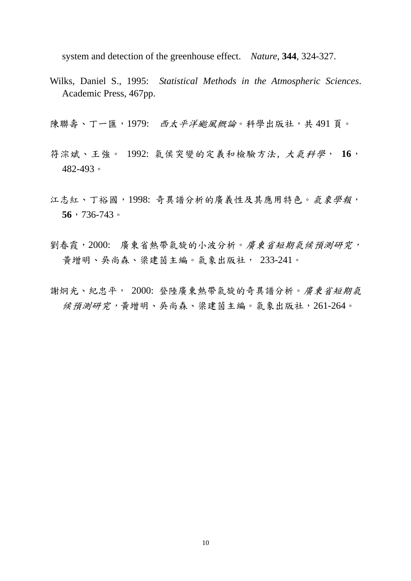system and detection of the greenhouse effect. *Nature*, **344**, 324-327.

- Wilks, Daniel S., 1995: *Statistical Methods in the Atmospheric Sciences*. Academic Press, 467pp.
- 陳聯壽、丁一匯,1979: 西太平洋颱風概論。科學出版社,共491頁。
- 符淙斌、王強。 1992: 氣侯突變的定義和檢驗方法, 大氣科學, **16**, 482-493。
- 江志紅、丁裕國,1998: 奇異譜分析的廣義性及其應用特色。氣象學報, **56**,736-743。
- 劉春霞, 2000: 廣東省熱帶氣旋的小波分析。*廣東省短期氣候預測研究,* 黃增明、吳尚森、梁建茵主編。氣象出版社, 233-241。
- 謝炯光、紀忠平, 2000: 登陸廣東熱帶氣旋的奇異譜分析。廣東省短期氣 候預測研究,黃增明、吳尚森、梁建茵主編。氣象出版社,261-264。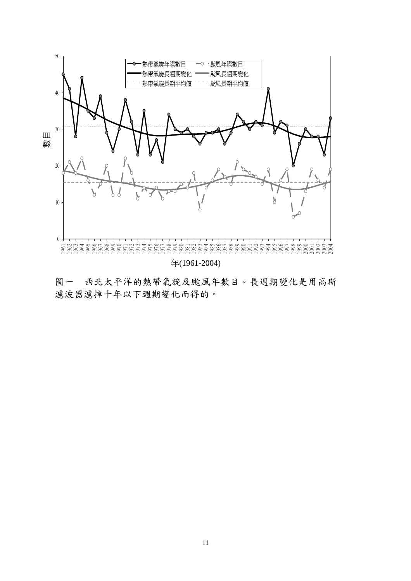

圖一 西北太平洋的熱帶氣旋及颱風年數目。長週期變化是用高斯 濾波器濾掉十年以下週期變化而得的。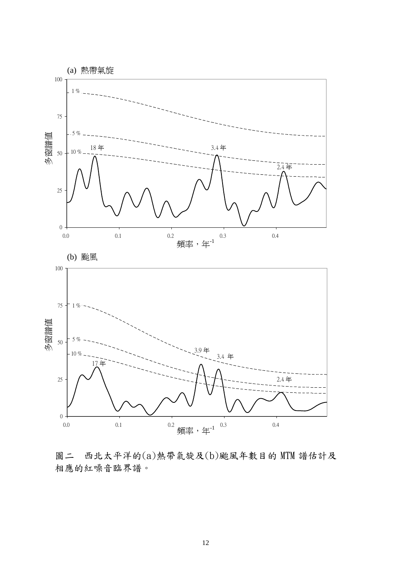

圖二 西北太平洋的(a)熱帶氣旋及(b)颱風年數目的 MTM 譜估計及 相應的紅噪音臨界譜。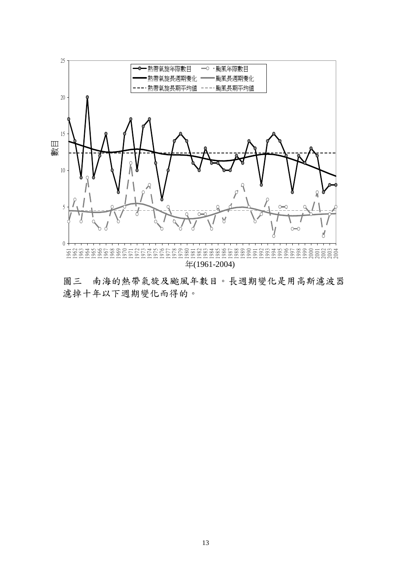

圖三 南海的熱帶氣旋及颱風年數目。長週期變化是用高斯濾波器 濾掉十年以下週期變化而得的。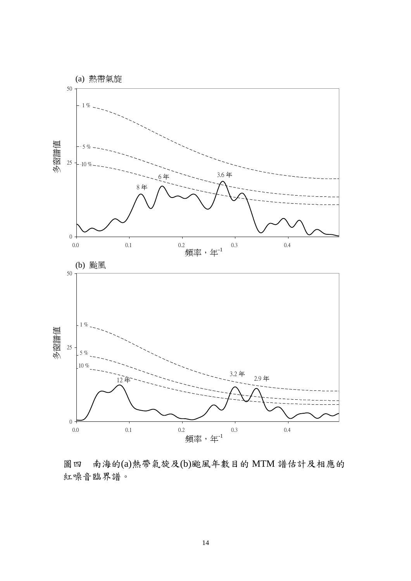

圖四 南海的(a)熱帶氣旋及(b)颱風年數目的 MTM 譜估計及相應的 紅噪音臨界譜。